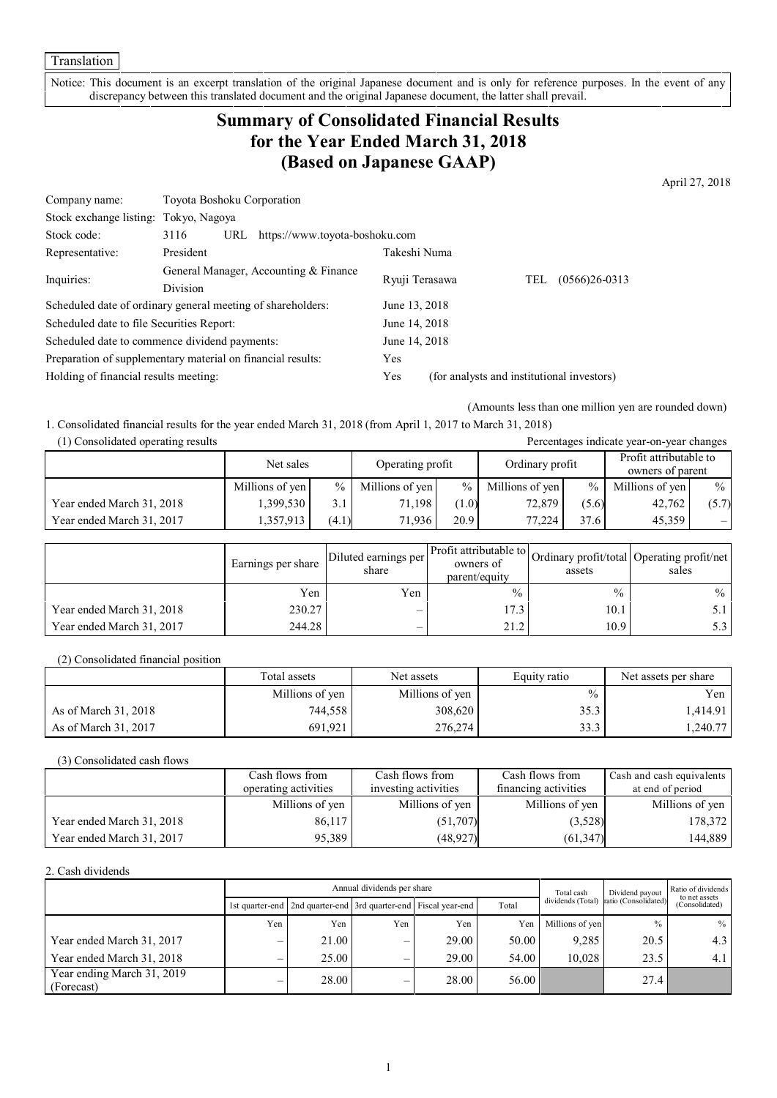Notice: This document is an excerpt translation of the original Japanese document and is only for reference purposes. In the event of any discrepancy between this translated document and the original Japanese document, the latter shall prevail.

## **Summary of Consolidated Financial Results for the Year Ended March 31, 2018 (Based on Japanese GAAP)**

April 27, 2018

| Company name:                                               | Toyota Boshoku Corporation                        |                                |                |                                            |     |                 |
|-------------------------------------------------------------|---------------------------------------------------|--------------------------------|----------------|--------------------------------------------|-----|-----------------|
| Stock exchange listing: Tokyo, Nagoya                       |                                                   |                                |                |                                            |     |                 |
| Stock code:                                                 | 3116<br>URL                                       | https://www.toyota-boshoku.com |                |                                            |     |                 |
| Representative:                                             | President                                         |                                | Takeshi Numa   |                                            |     |                 |
|                                                             | General Manager, Accounting & Finance<br>Division |                                | Ryuji Terasawa |                                            | TEL | $(0566)26-0313$ |
| Inquiries:                                                  |                                                   |                                |                |                                            |     |                 |
| Scheduled date of ordinary general meeting of shareholders: |                                                   |                                | June 13, 2018  |                                            |     |                 |
| Scheduled date to file Securities Report:                   |                                                   |                                | June 14, 2018  |                                            |     |                 |
| Scheduled date to commence dividend payments:               |                                                   | June 14, 2018                  |                |                                            |     |                 |
| Preparation of supplementary material on financial results: |                                                   | Yes                            |                |                                            |     |                 |
| Holding of financial results meeting:                       |                                                   |                                | Yes            | (for analysts and institutional investors) |     |                 |

(Amounts less than one million yen are rounded down)

1. Consolidated financial results for the year ended March 31, 2018 (from April 1, 2017 to March 31, 2018)

| (1) Consolidated operating results<br>Percentages indicate year-on-year changes |                 |       |                  |       |                 |               |                                            |       |
|---------------------------------------------------------------------------------|-----------------|-------|------------------|-------|-----------------|---------------|--------------------------------------------|-------|
|                                                                                 | Net sales       |       | Operating profit |       | Ordinary profit |               | Profit attributable to<br>owners of parent |       |
|                                                                                 | Millions of yen | $\%$  | Millions of yen  | $\%$  | Millions of yen | $\frac{0}{0}$ | Millions of yen                            | $\%$  |
| Year ended March 31, 2018                                                       | 1,399,530       | 3.1   | 71.198           | (1.0) | 72,879          | (5.6)         | 42,762                                     | (5.7) |
| Year ended March 31, 2017                                                       | 1,357,913       | (4.1) | 71.936           | 20.9  | 77.224          | 37.6          | 45.359                                     |       |

|                           | Earnings per share | Diluted earnings per<br>share | owners of<br>parent/equity | assets        | er Profit attributable to Ordinary profit/total Operating profit/net<br>sales |
|---------------------------|--------------------|-------------------------------|----------------------------|---------------|-------------------------------------------------------------------------------|
|                           | Yen                | Yen                           | $\frac{0}{0}$              | $\frac{0}{0}$ | $\%$                                                                          |
| Year ended March 31, 2018 | 230.27             | $\overline{\phantom{0}}$      | 17.3                       | 10.1          | 5.1 I                                                                         |
| Year ended March 31, 2017 | 244.28             | $\overline{\phantom{0}}$      | 21.2                       | 10.9          | 5.3 I                                                                         |

(2) Consolidated financial position

|                      | Total assets    | Net assets      | Equity ratio  | Net assets per share |
|----------------------|-----------------|-----------------|---------------|----------------------|
|                      | Millions of yen | Millions of yen | $\frac{0}{0}$ | Yen 1                |
| As of March 31, 2018 | 744,558         | 308,620         | 35.3          | 1.414.91             |
| As of March 31, 2017 | 691.921         | 276,274         | 33.3          | 1,240.77             |

(3) Consolidated cash flows

|                           | Cash flows from      | Cash flows from      | Cash flows from      | Cash and cash equivalents |
|---------------------------|----------------------|----------------------|----------------------|---------------------------|
|                           | operating activities | investing activities | financing activities | at end of period          |
|                           | Millions of yen      | Millions of yen      | Millions of yen      | Millions of yen           |
| Year ended March 31, 2018 | 86,117               | (51,707)             | (3,528)              | 178,372                   |
| Year ended March 31, 2017 | 95.389               | (48, 927)            | (61, 347)            | 144,889                   |

#### 2. Cash dividends

|                                          | Annual dividends per share |                                                                       |     |       |       | Total cash        | Dividend payout      | Ratio of dividends<br>to net assets |
|------------------------------------------|----------------------------|-----------------------------------------------------------------------|-----|-------|-------|-------------------|----------------------|-------------------------------------|
|                                          |                            | 1st quarter-end   2nd quarter-end   3rd quarter-end   Fiscal year-end |     |       | Total | dividends (Total) | ratio (Consolidated) | (Consolidated)                      |
|                                          | Yen                        | Yen                                                                   | Yen | Yen   | Yen   | Millions of yen   | $\frac{0}{0}$        | $%$                                 |
| Year ended March 31, 2017                |                            | 21.00                                                                 | —   | 29.00 | 50.00 | 9,285             | 20.5                 | 4.3                                 |
| Year ended March 31, 2018                |                            | 25.00                                                                 | –   | 29.00 | 54.00 | 10.028            | 23.5                 | 4.1                                 |
| Year ending March 31, 2019<br>(Forecast) |                            | 28.00                                                                 | –   | 28.00 | 56.00 |                   | 27.4                 |                                     |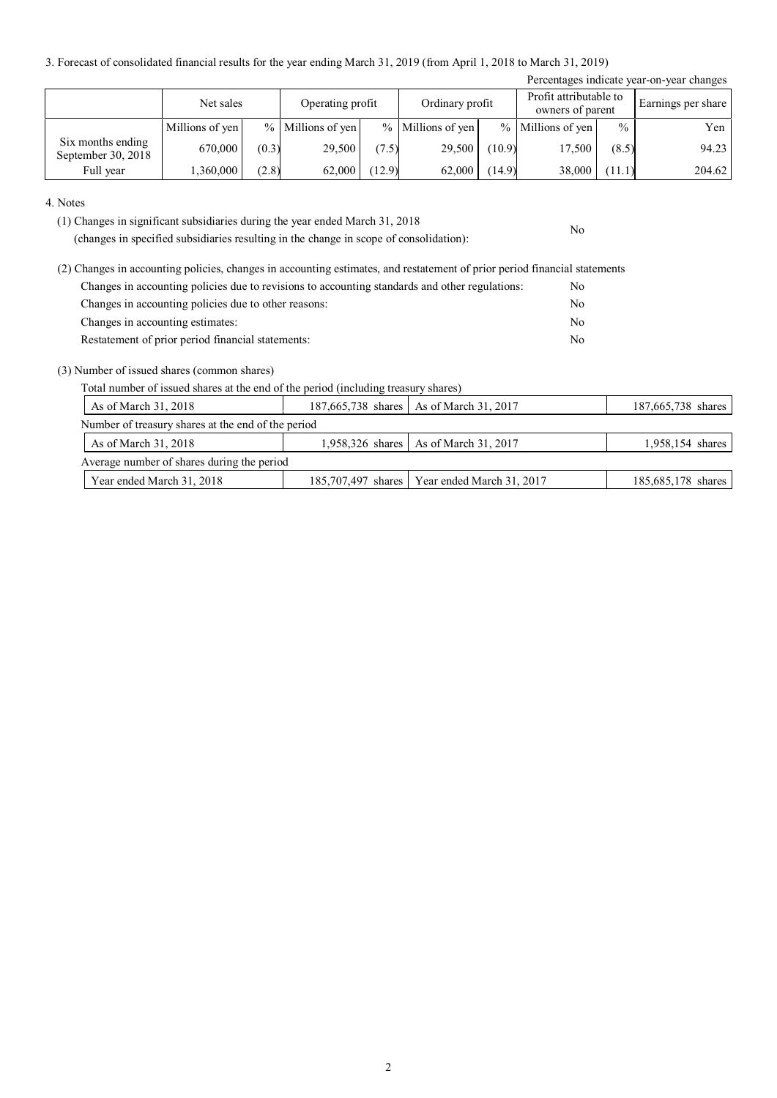3. Forecast of consolidated financial results for the year ending March 31, 2019 (from April 1, 2018 to March 31, 2019)

| Percentages indicate year-on-year changes |                 |       |                     |        |                   |        |                                            |               |                    |
|-------------------------------------------|-----------------|-------|---------------------|--------|-------------------|--------|--------------------------------------------|---------------|--------------------|
|                                           | Net sales       |       | Operating profit    |        | Ordinary profit   |        | Profit attributable to<br>owners of parent |               | Earnings per share |
|                                           | Millions of yen |       | $%$ Millions of yen |        | % Millions of yen |        | % Millions of yen                          | $\frac{0}{0}$ | Yen                |
| Six months ending<br>September 30, 2018   | 670,000         | (0.3) | 29,500              | (7.5)  | 29,500            | (10.9) | 17,500                                     | (8.5)         | 94.23              |
| Full year                                 | ,360,000        | (2.8) | 62,000              | (12.9) | 62,000            | (14.9) | 38,000                                     | (11.1)        | 204.62             |

No

4. Notes

(1) Changes in significant subsidiaries during the year ended March 31, 2018

(changes in specified subsidiaries resulting in the change in scope of consolidation):

| (2) Changes in accounting policies, changes in accounting estimates, and restatement of prior period financial statements |    |
|---------------------------------------------------------------------------------------------------------------------------|----|
| Changes in accounting policies due to revisions to accounting standards and other regulations:                            | No |
| Changes in accounting policies due to other reasons:                                                                      | No |
| Changes in accounting estimates:                                                                                          | No |
| Restatement of prior period financial statements:                                                                         | No |

(3) Number of issued shares (common shares)

Total number of issued shares at the end of the period (including treasury shares)

| As of March 31, 2018                               |  | 187,665,738 shares   As of March 31, 2017      | 187,665,738 shares |  |  |  |  |  |
|----------------------------------------------------|--|------------------------------------------------|--------------------|--|--|--|--|--|
| Number of treasury shares at the end of the period |  |                                                |                    |  |  |  |  |  |
| As of March 31, 2018                               |  | 1,958,326 shares   As of March 31, 2017        | 1,958,154 shares   |  |  |  |  |  |
| Average number of shares during the period         |  |                                                |                    |  |  |  |  |  |
| Year ended March 31, 2018                          |  | 185,707,497 shares   Year ended March 31, 2017 | 185,685,178 shares |  |  |  |  |  |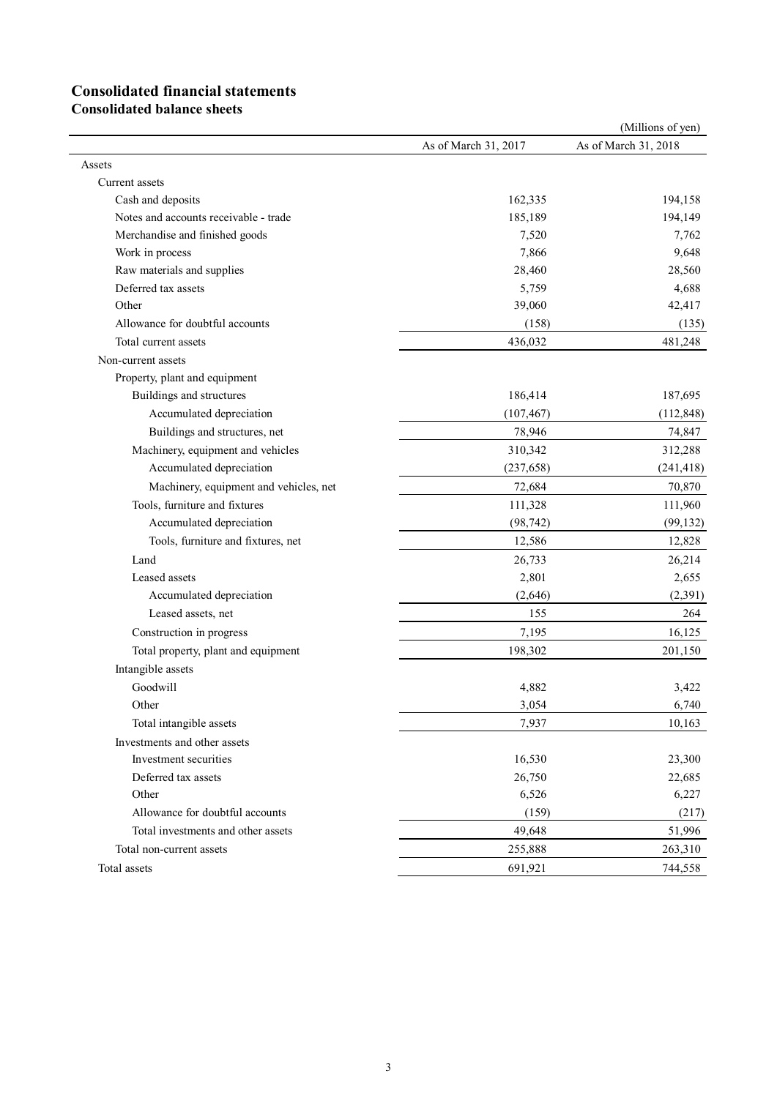# **Consolidated financial statements**

**Consolidated balance sheets**

|                                        |                      | (Millions of yen)    |
|----------------------------------------|----------------------|----------------------|
|                                        | As of March 31, 2017 | As of March 31, 2018 |
| Assets                                 |                      |                      |
| Current assets                         |                      |                      |
| Cash and deposits                      | 162,335              | 194,158              |
| Notes and accounts receivable - trade  | 185,189              | 194,149              |
| Merchandise and finished goods         | 7,520                | 7,762                |
| Work in process                        | 7,866                | 9,648                |
| Raw materials and supplies             | 28,460               | 28,560               |
| Deferred tax assets                    | 5,759                | 4,688                |
| Other                                  | 39,060               | 42,417               |
| Allowance for doubtful accounts        | (158)                | (135)                |
| Total current assets                   | 436,032              | 481,248              |
| Non-current assets                     |                      |                      |
| Property, plant and equipment          |                      |                      |
| Buildings and structures               | 186,414              | 187,695              |
| Accumulated depreciation               | (107, 467)           | (112, 848)           |
| Buildings and structures, net          | 78,946               | 74,847               |
| Machinery, equipment and vehicles      | 310,342              | 312,288              |
| Accumulated depreciation               | (237, 658)           | (241, 418)           |
| Machinery, equipment and vehicles, net | 72,684               | 70,870               |
| Tools, furniture and fixtures          | 111,328              | 111,960              |
| Accumulated depreciation               | (98, 742)            | (99, 132)            |
| Tools, furniture and fixtures, net     | 12,586               | 12,828               |
| Land                                   | 26,733               | 26,214               |
| Leased assets                          | 2,801                | 2,655                |
| Accumulated depreciation               | (2,646)              | (2,391)              |
| Leased assets, net                     | 155                  | 264                  |
| Construction in progress               | 7,195                | 16,125               |
| Total property, plant and equipment    | 198,302              | 201,150              |
| Intangible assets                      |                      |                      |
| Goodwill                               | 4,882                | 3,422                |
| Other                                  | 3,054                | 6,740                |
| Total intangible assets                | 7,937                | 10,163               |
| Investments and other assets           |                      |                      |
| Investment securities                  | 16,530               | 23,300               |
| Deferred tax assets                    | 26,750               | 22,685               |
| Other                                  | 6,526                | 6,227                |
| Allowance for doubtful accounts        | (159)                | (217)                |
| Total investments and other assets     | 49,648               | 51,996               |
| Total non-current assets               | 255,888              | 263,310              |
| Total assets                           | 691,921              | 744,558              |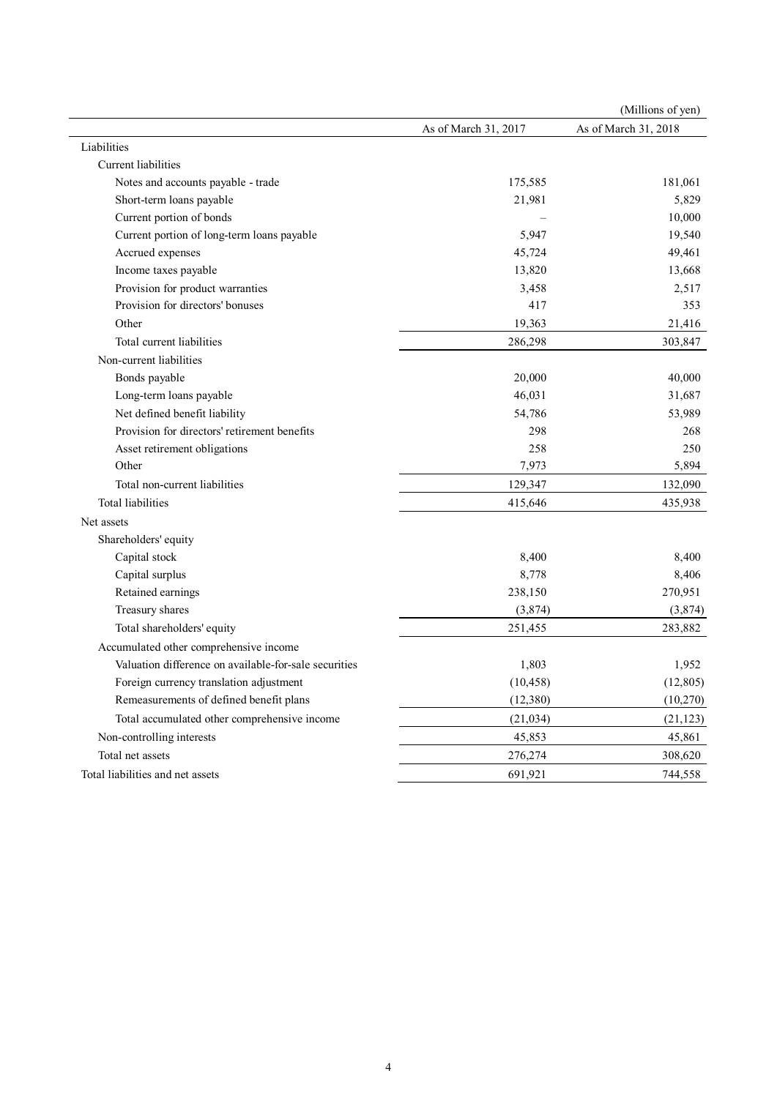|                                                       |                      | (Millions of yen)    |
|-------------------------------------------------------|----------------------|----------------------|
|                                                       | As of March 31, 2017 | As of March 31, 2018 |
| Liabilities                                           |                      |                      |
| Current liabilities                                   |                      |                      |
| Notes and accounts payable - trade                    | 175,585              | 181,061              |
| Short-term loans payable                              | 21,981               | 5,829                |
| Current portion of bonds                              |                      | 10,000               |
| Current portion of long-term loans payable            | 5,947                | 19,540               |
| Accrued expenses                                      | 45,724               | 49,461               |
| Income taxes payable                                  | 13,820               | 13,668               |
| Provision for product warranties                      | 3,458                | 2,517                |
| Provision for directors' bonuses                      | 417                  | 353                  |
| Other                                                 | 19,363               | 21,416               |
| Total current liabilities                             | 286,298              | 303,847              |
| Non-current liabilities                               |                      |                      |
| Bonds payable                                         | 20,000               | 40,000               |
| Long-term loans payable                               | 46,031               | 31,687               |
| Net defined benefit liability                         | 54,786               | 53,989               |
| Provision for directors' retirement benefits          | 298                  | 268                  |
| Asset retirement obligations                          | 258                  | 250                  |
| Other                                                 | 7,973                | 5,894                |
| Total non-current liabilities                         | 129,347              | 132,090              |
| Total liabilities                                     | 415,646              | 435,938              |
| Net assets                                            |                      |                      |
| Shareholders' equity                                  |                      |                      |
| Capital stock                                         | 8,400                | 8,400                |
| Capital surplus                                       | 8,778                | 8,406                |
| Retained earnings                                     | 238,150              | 270,951              |
| Treasury shares                                       | (3,874)              | (3,874)              |
| Total shareholders' equity                            | 251,455              | 283,882              |
| Accumulated other comprehensive income                |                      |                      |
| Valuation difference on available-for-sale securities | 1,803                | 1,952                |
| Foreign currency translation adjustment               | (10, 458)            | (12, 805)            |
| Remeasurements of defined benefit plans               | (12, 380)            | (10,270)             |
| Total accumulated other comprehensive income          | (21, 034)            | (21, 123)            |
| Non-controlling interests                             | 45,853               | 45,861               |
| Total net assets                                      | 276,274              | 308,620              |
| Total liabilities and net assets                      | 691,921              | 744,558              |
|                                                       |                      |                      |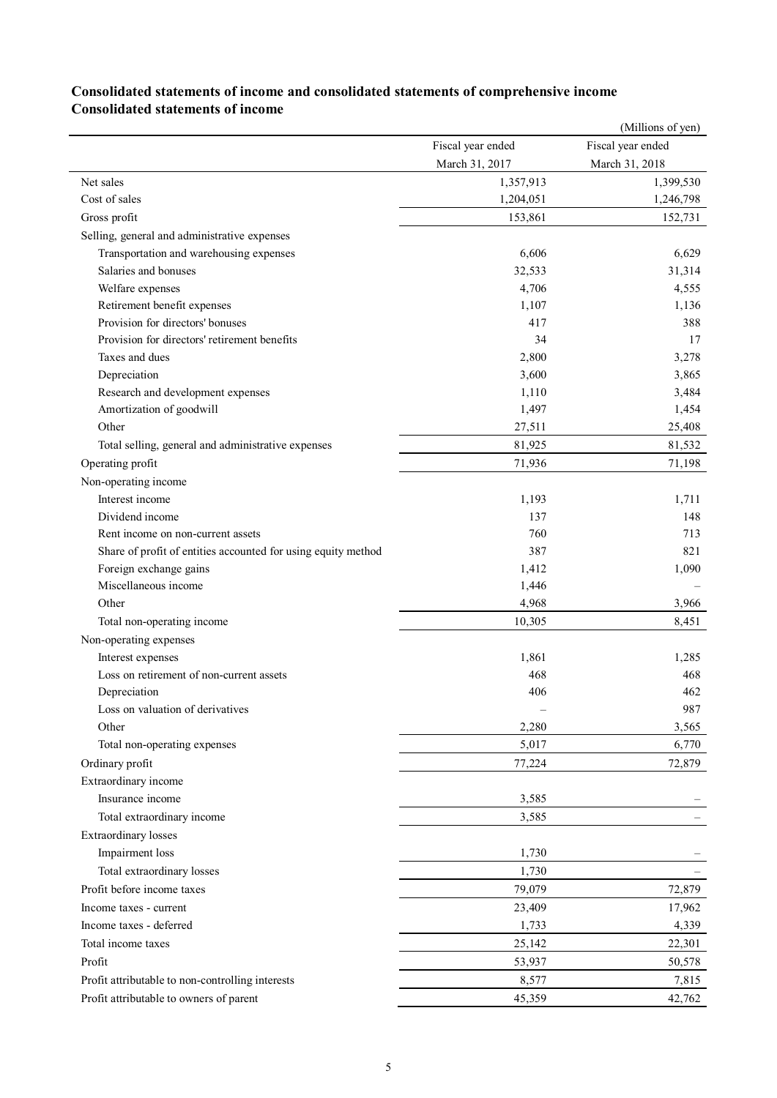|                                                               |                   | (Millions of yen) |
|---------------------------------------------------------------|-------------------|-------------------|
|                                                               | Fiscal year ended | Fiscal year ended |
|                                                               | March 31, 2017    | March 31, 2018    |
| Net sales                                                     | 1,357,913         | 1,399,530         |
| Cost of sales                                                 | 1,204,051         | 1,246,798         |
| Gross profit                                                  | 153,861           | 152,731           |
| Selling, general and administrative expenses                  |                   |                   |
| Transportation and warehousing expenses                       | 6,606             | 6,629             |
| Salaries and bonuses                                          | 32,533            | 31,314            |
| Welfare expenses                                              | 4,706             | 4,555             |
| Retirement benefit expenses                                   | 1,107             | 1,136             |
| Provision for directors' bonuses                              | 417               | 388               |
| Provision for directors' retirement benefits                  | 34                | 17                |
| Taxes and dues                                                | 2,800             | 3,278             |
| Depreciation                                                  | 3,600             | 3,865             |
| Research and development expenses                             | 1,110             | 3,484             |
| Amortization of goodwill                                      | 1,497             | 1,454             |
| Other                                                         | 27,511            | 25,408            |
| Total selling, general and administrative expenses            | 81,925            | 81,532            |
| Operating profit                                              | 71,936            | 71,198            |
| Non-operating income                                          |                   |                   |
| Interest income                                               | 1,193             | 1,711             |
| Dividend income                                               | 137               | 148               |
| Rent income on non-current assets                             | 760               | 713               |
| Share of profit of entities accounted for using equity method | 387               | 821               |
| Foreign exchange gains                                        | 1,412             | 1,090             |
| Miscellaneous income                                          | 1,446             |                   |
| Other                                                         | 4,968             | 3,966             |
| Total non-operating income                                    | 10,305            | 8,451             |
| Non-operating expenses                                        |                   |                   |
| Interest expenses                                             | 1,861             | 1,285             |
| Loss on retirement of non-current assets                      | 468               | 468               |
| Depreciation                                                  | 406               | 462               |
| Loss on valuation of derivatives                              |                   | 987               |
| Other                                                         | 2,280             | 3,565             |
| Total non-operating expenses                                  | 5,017             | 6,770             |
| Ordinary profit                                               | 77,224            | 72,879            |
| Extraordinary income                                          |                   |                   |
| Insurance income                                              | 3,585             |                   |
| Total extraordinary income                                    | 3,585             |                   |
| <b>Extraordinary losses</b>                                   |                   |                   |
| Impairment loss                                               | 1,730             |                   |
| Total extraordinary losses                                    | 1,730             |                   |
| Profit before income taxes                                    | 79,079            | 72,879            |
| Income taxes - current                                        | 23,409            | 17,962            |
| Income taxes - deferred                                       | 1,733             | 4,339             |
| Total income taxes                                            | 25,142            | 22,301            |
| Profit                                                        |                   |                   |
|                                                               | 53,937            | 50,578            |
| Profit attributable to non-controlling interests              | 8,577             | 7,815             |
| Profit attributable to owners of parent                       | 45,359            | 42,762            |

## **Consolidated statements of income and consolidated statements of comprehensive income Consolidated statements of income**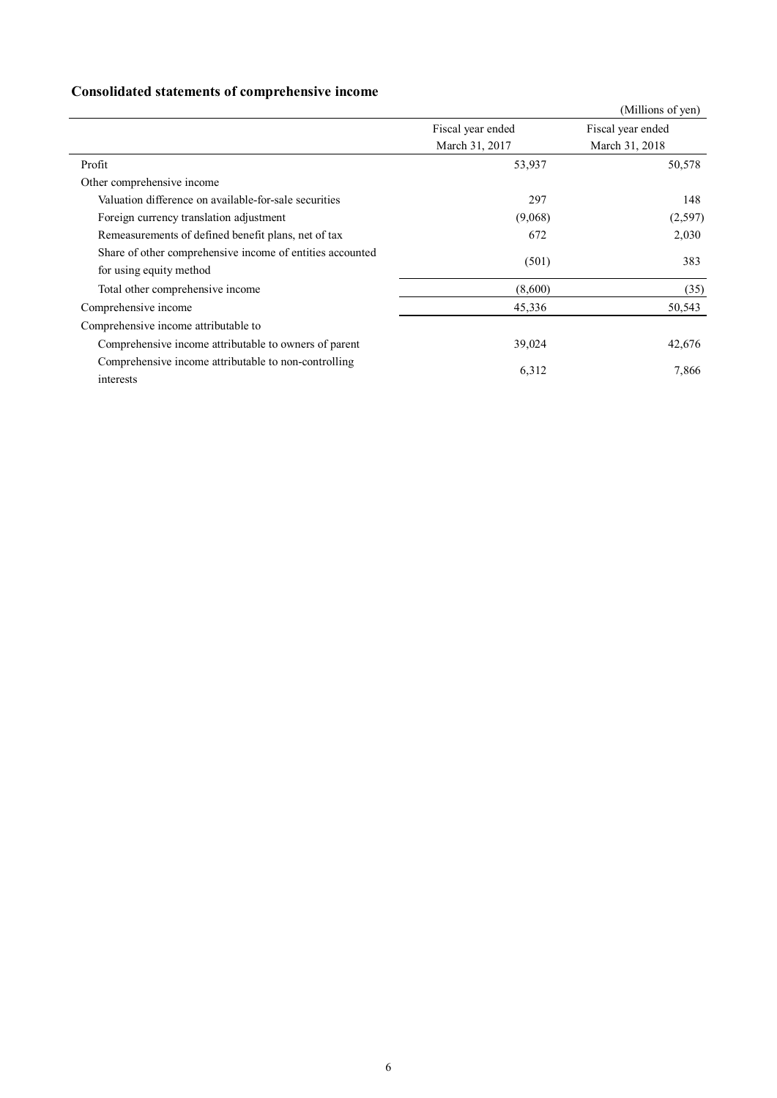## **Consolidated statements of comprehensive income**

|                                                                                      |                   | (Millions of yen) |
|--------------------------------------------------------------------------------------|-------------------|-------------------|
|                                                                                      | Fiscal year ended | Fiscal year ended |
|                                                                                      | March 31, 2017    | March 31, 2018    |
| Profit                                                                               | 53,937            | 50,578            |
| Other comprehensive income                                                           |                   |                   |
| Valuation difference on available-for-sale securities                                | 297               | 148               |
| Foreign currency translation adjustment                                              | (9,068)           | (2,597)           |
| Remeasurements of defined benefit plans, net of tax                                  | 672               | 2,030             |
| Share of other comprehensive income of entities accounted<br>for using equity method | (501)             | 383               |
| Total other comprehensive income                                                     | (8,600)           | (35)              |
| Comprehensive income                                                                 | 45,336            | 50,543            |
| Comprehensive income attributable to                                                 |                   |                   |
| Comprehensive income attributable to owners of parent                                | 39,024            | 42,676            |
| Comprehensive income attributable to non-controlling<br>interests                    | 6,312             | 7,866             |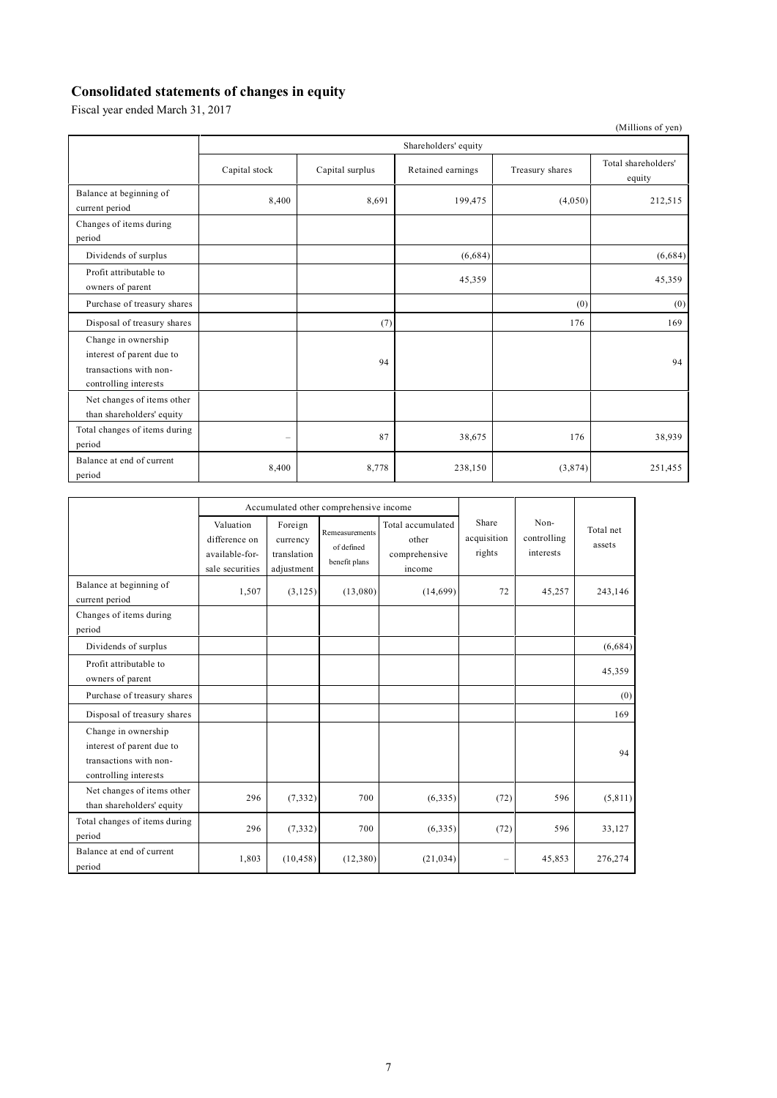## **Consolidated statements of changes in equity**

Fiscal year ended March 31, 2017

|                                                                                                     |                      |                 |                   |                 | (Millions of yen)             |  |  |
|-----------------------------------------------------------------------------------------------------|----------------------|-----------------|-------------------|-----------------|-------------------------------|--|--|
|                                                                                                     | Shareholders' equity |                 |                   |                 |                               |  |  |
|                                                                                                     | Capital stock        | Capital surplus | Retained earnings | Treasury shares | Total shareholders'<br>equity |  |  |
| Balance at beginning of<br>current period                                                           | 8,400                | 8,691           | 199,475           | (4,050)         | 212,515                       |  |  |
| Changes of items during<br>period                                                                   |                      |                 |                   |                 |                               |  |  |
| Dividends of surplus                                                                                |                      |                 | (6,684)           |                 | (6,684)                       |  |  |
| Profit attributable to<br>owners of parent                                                          |                      |                 | 45,359            |                 | 45,359                        |  |  |
| Purchase of treasury shares                                                                         |                      |                 |                   | (0)             | (0)                           |  |  |
| Disposal of treasury shares                                                                         |                      | (7)             |                   | 176             | 169                           |  |  |
| Change in ownership<br>interest of parent due to<br>transactions with non-<br>controlling interests |                      | 94              |                   |                 | 94                            |  |  |
| Net changes of items other<br>than shareholders' equity                                             |                      |                 |                   |                 |                               |  |  |
| Total changes of items during<br>period                                                             | -                    | 87              | 38,675            | 176             | 38,939                        |  |  |
| Balance at end of current<br>period                                                                 | 8,400                | 8,778           | 238,150           | (3,874)         | 251,455                       |  |  |

|                                                                                                     | Accumulated other comprehensive income                          |                                                  |                                               |                                                       |                                |                                  |                     |
|-----------------------------------------------------------------------------------------------------|-----------------------------------------------------------------|--------------------------------------------------|-----------------------------------------------|-------------------------------------------------------|--------------------------------|----------------------------------|---------------------|
|                                                                                                     | Valuation<br>difference on<br>available-for-<br>sale securities | Foreign<br>currency<br>translation<br>adjustment | Remeasurements<br>of defined<br>benefit plans | Total accumulated<br>other<br>comprehensive<br>income | Share<br>acquisition<br>rights | Non-<br>controlling<br>interests | Total net<br>assets |
| Balance at beginning of<br>current period                                                           | 1,507                                                           | (3,125)                                          | (13,080)                                      | (14,699)                                              | 72                             | 45,257                           | 243,146             |
| Changes of items during<br>period                                                                   |                                                                 |                                                  |                                               |                                                       |                                |                                  |                     |
| Dividends of surplus                                                                                |                                                                 |                                                  |                                               |                                                       |                                |                                  | (6,684)             |
| Profit attributable to<br>owners of parent                                                          |                                                                 |                                                  |                                               |                                                       |                                |                                  | 45,359              |
| Purchase of treasury shares                                                                         |                                                                 |                                                  |                                               |                                                       |                                |                                  | (0)                 |
| Disposal of treasury shares                                                                         |                                                                 |                                                  |                                               |                                                       |                                |                                  | 169                 |
| Change in ownership<br>interest of parent due to<br>transactions with non-<br>controlling interests |                                                                 |                                                  |                                               |                                                       |                                |                                  | 94                  |
| Net changes of items other<br>than shareholders' equity                                             | 296                                                             | (7, 332)                                         | 700                                           | (6,335)                                               | (72)                           | 596                              | (5, 811)            |
| Total changes of items during<br>period                                                             | 296                                                             | (7, 332)                                         | 700                                           | (6,335)                                               | (72)                           | 596                              | 33,127              |
| Balance at end of current<br>period                                                                 | 1,803                                                           | (10, 458)                                        | (12, 380)                                     | (21, 034)                                             | $\overline{\phantom{0}}$       | 45,853                           | 276,274             |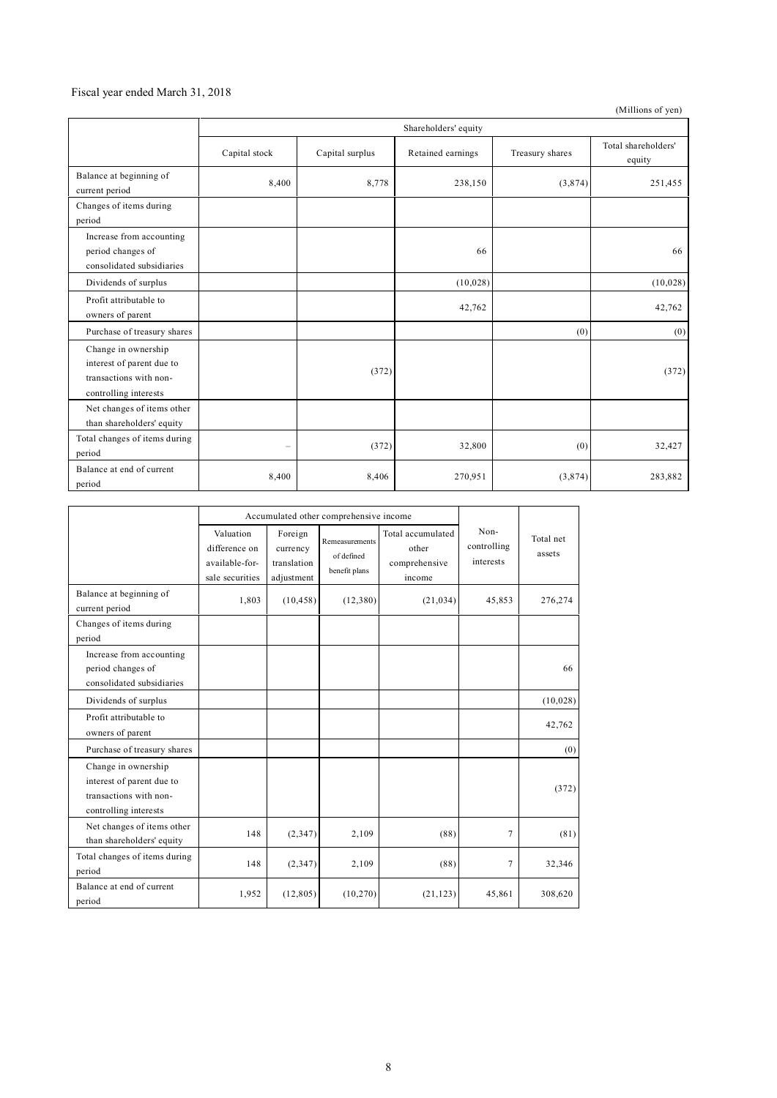#### Fiscal year ended March 31, 2018

(Millions of yen)

|                                                                                                     | Shareholders' equity |                 |                   |                 |                               |  |  |  |
|-----------------------------------------------------------------------------------------------------|----------------------|-----------------|-------------------|-----------------|-------------------------------|--|--|--|
|                                                                                                     | Capital stock        | Capital surplus | Retained earnings | Treasury shares | Total shareholders'<br>equity |  |  |  |
| Balance at beginning of<br>current period                                                           | 8,400                | 8,778           | 238,150           | (3,874)         | 251,455                       |  |  |  |
| Changes of items during<br>period                                                                   |                      |                 |                   |                 |                               |  |  |  |
| Increase from accounting<br>period changes of<br>consolidated subsidiaries                          |                      |                 | 66                |                 | 66                            |  |  |  |
| Dividends of surplus                                                                                |                      |                 | (10,028)          |                 | (10, 028)                     |  |  |  |
| Profit attributable to<br>owners of parent                                                          |                      |                 | 42,762            |                 | 42,762                        |  |  |  |
| Purchase of treasury shares                                                                         |                      |                 |                   | (0)             | (0)                           |  |  |  |
| Change in ownership<br>interest of parent due to<br>transactions with non-<br>controlling interests |                      | (372)           |                   |                 | (372)                         |  |  |  |
| Net changes of items other<br>than shareholders' equity                                             |                      |                 |                   |                 |                               |  |  |  |
| Total changes of items during<br>period                                                             | $\qquad \qquad -$    | (372)           | 32,800            | (0)             | 32,427                        |  |  |  |
| Balance at end of current<br>period                                                                 | 8,400                | 8,406           | 270,951           | (3,874)         | 283,882                       |  |  |  |

|                                                                                                     | Accumulated other comprehensive income                          |                                                  |                                               |                                                       |                                  |                     |
|-----------------------------------------------------------------------------------------------------|-----------------------------------------------------------------|--------------------------------------------------|-----------------------------------------------|-------------------------------------------------------|----------------------------------|---------------------|
|                                                                                                     | Valuation<br>difference on<br>available-for-<br>sale securities | Foreign<br>currency<br>translation<br>adjustment | Remeasurements<br>of defined<br>benefit plans | Total accumulated<br>other<br>comprehensive<br>income | Non-<br>controlling<br>interests | Total net<br>assets |
| Balance at beginning of<br>current period                                                           | 1,803                                                           | (10, 458)                                        | (12,380)                                      | (21, 034)                                             | 45,853                           | 276,274             |
| Changes of items during<br>period                                                                   |                                                                 |                                                  |                                               |                                                       |                                  |                     |
| Increase from accounting<br>period changes of<br>consolidated subsidiaries                          |                                                                 |                                                  |                                               |                                                       |                                  | 66                  |
| Dividends of surplus                                                                                |                                                                 |                                                  |                                               |                                                       |                                  | (10,028)            |
| Profit attributable to<br>owners of parent                                                          |                                                                 |                                                  |                                               |                                                       |                                  | 42,762              |
| Purchase of treasury shares                                                                         |                                                                 |                                                  |                                               |                                                       |                                  | (0)                 |
| Change in ownership<br>interest of parent due to<br>transactions with non-<br>controlling interests |                                                                 |                                                  |                                               |                                                       |                                  | (372)               |
| Net changes of items other<br>than shareholders' equity                                             | 148                                                             | (2, 347)                                         | 2,109                                         | (88)                                                  | 7                                | (81)                |
| Total changes of items during<br>period                                                             | 148                                                             | (2, 347)                                         | 2,109                                         | (88)                                                  | 7                                | 32,346              |
| Balance at end of current<br>period                                                                 | 1,952                                                           | (12, 805)                                        | (10,270)                                      | (21, 123)                                             | 45,861                           | 308,620             |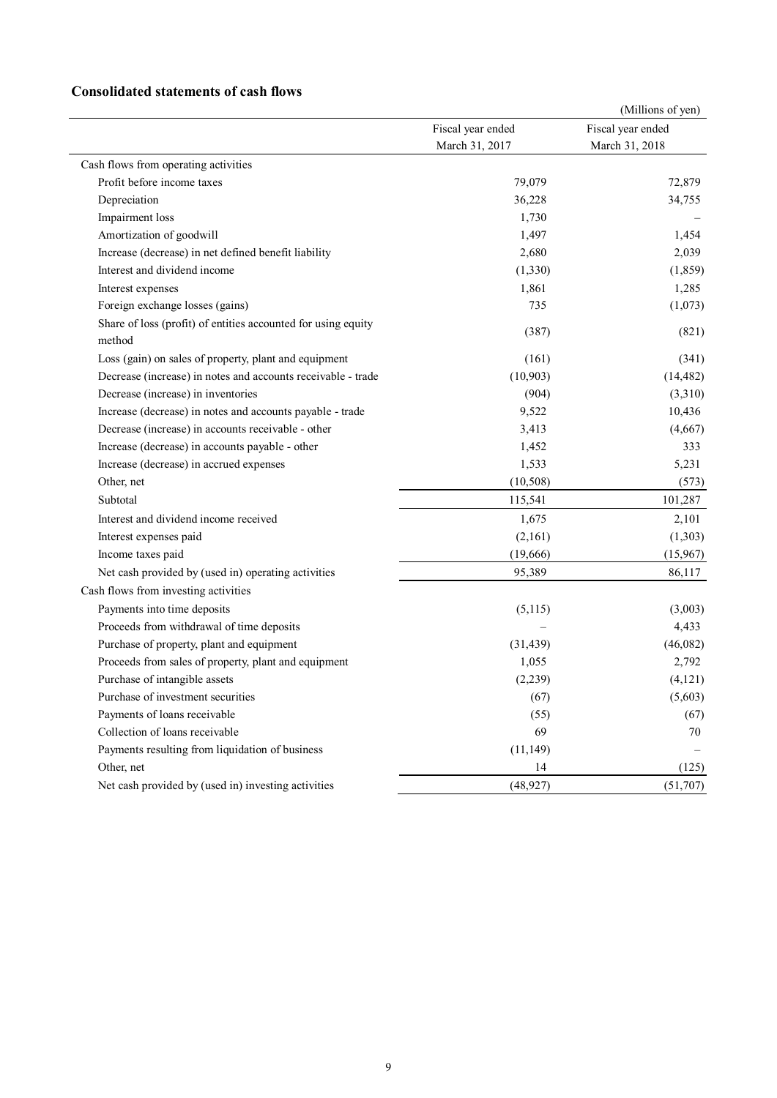### **Consolidated statements of cash flows**

|                                                                         |                   | (Millions of yen) |
|-------------------------------------------------------------------------|-------------------|-------------------|
|                                                                         | Fiscal year ended | Fiscal year ended |
|                                                                         | March 31, 2017    | March 31, 2018    |
| Cash flows from operating activities                                    |                   |                   |
| Profit before income taxes                                              | 79,079            | 72,879            |
| Depreciation                                                            | 36,228            | 34,755            |
| Impairment loss                                                         | 1,730             |                   |
| Amortization of goodwill                                                | 1,497             | 1,454             |
| Increase (decrease) in net defined benefit liability                    | 2,680             | 2,039             |
| Interest and dividend income                                            | (1, 330)          | (1, 859)          |
| Interest expenses                                                       | 1,861             | 1,285             |
| Foreign exchange losses (gains)                                         | 735               | (1,073)           |
| Share of loss (profit) of entities accounted for using equity<br>method | (387)             | (821)             |
| Loss (gain) on sales of property, plant and equipment                   | (161)             | (341)             |
| Decrease (increase) in notes and accounts receivable - trade            | (10, 903)         | (14, 482)         |
| Decrease (increase) in inventories                                      | (904)             | (3,310)           |
| Increase (decrease) in notes and accounts payable - trade               | 9,522             | 10,436            |
| Decrease (increase) in accounts receivable - other                      | 3,413             | (4,667)           |
| Increase (decrease) in accounts payable - other                         | 1,452             | 333               |
| Increase (decrease) in accrued expenses                                 | 1,533             | 5,231             |
| Other, net                                                              | (10, 508)         | (573)             |
| Subtotal                                                                | 115,541           | 101,287           |
| Interest and dividend income received                                   | 1,675             | 2,101             |
| Interest expenses paid                                                  | (2,161)           | (1,303)           |
| Income taxes paid                                                       | (19,666)          | (15,967)          |
| Net cash provided by (used in) operating activities                     | 95,389            | 86,117            |
| Cash flows from investing activities                                    |                   |                   |
| Payments into time deposits                                             | (5,115)           | (3,003)           |
| Proceeds from withdrawal of time deposits                               |                   | 4,433             |
| Purchase of property, plant and equipment                               | (31, 439)         | (46,082)          |
| Proceeds from sales of property, plant and equipment                    | 1,055             | 2,792             |
| Purchase of intangible assets                                           | (2,239)           | (4, 121)          |
| Purchase of investment securities                                       | (67)              | (5,603)           |
| Payments of loans receivable                                            | (55)              | (67)              |
| Collection of loans receivable                                          | 69                | 70                |
| Payments resulting from liquidation of business                         | (11, 149)         |                   |
| Other, net                                                              | 14                | (125)             |
| Net cash provided by (used in) investing activities                     | (48, 927)         | (51,707)          |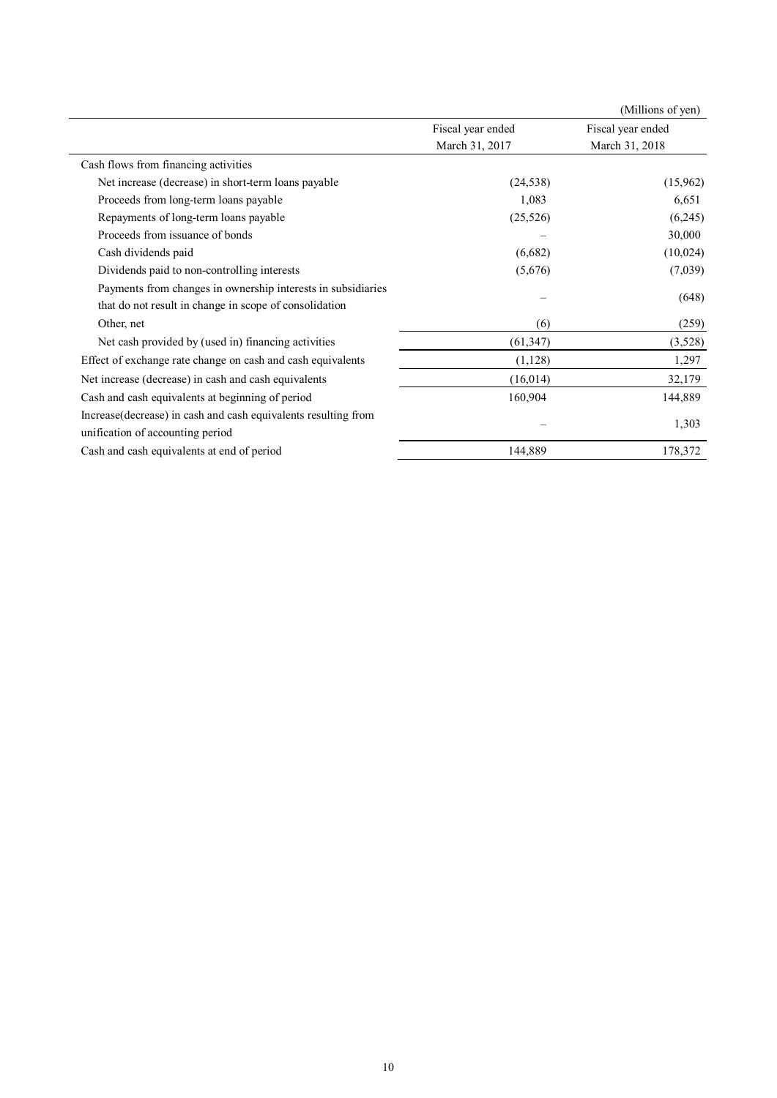|                                                                |                   | (Millions of yen) |  |
|----------------------------------------------------------------|-------------------|-------------------|--|
|                                                                | Fiscal year ended | Fiscal year ended |  |
|                                                                | March 31, 2017    | March 31, 2018    |  |
| Cash flows from financing activities                           |                   |                   |  |
| Net increase (decrease) in short-term loans payable            | (24, 538)         | (15,962)          |  |
| Proceeds from long-term loans payable                          | 1,083             | 6,651             |  |
| Repayments of long-term loans payable                          | (25, 526)         | (6,245)           |  |
| Proceeds from issuance of bonds                                |                   | 30,000            |  |
| Cash dividends paid                                            | (6,682)           | (10, 024)         |  |
| Dividends paid to non-controlling interests                    | (5,676)           | (7,039)           |  |
| Payments from changes in ownership interests in subsidiaries   |                   |                   |  |
| that do not result in change in scope of consolidation         |                   | (648)             |  |
| Other, net                                                     | (6)               | (259)             |  |
| Net cash provided by (used in) financing activities            | (61, 347)         | (3,528)           |  |
| Effect of exchange rate change on cash and cash equivalents    | (1,128)           | 1,297             |  |
| Net increase (decrease) in cash and cash equivalents           | (16, 014)         | 32,179            |  |
| Cash and cash equivalents at beginning of period               | 160,904           | 144,889           |  |
| Increase(decrease) in cash and cash equivalents resulting from |                   |                   |  |
| unification of accounting period                               |                   | 1,303             |  |
| Cash and cash equivalents at end of period                     | 144,889           | 178,372           |  |
|                                                                |                   |                   |  |